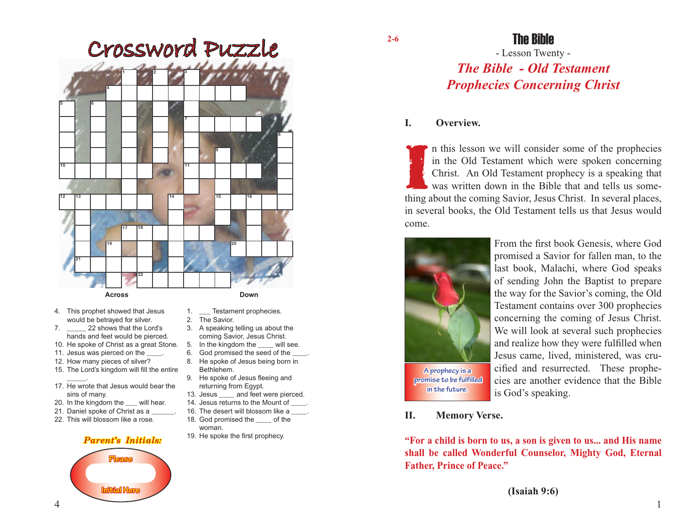

- 4. This prophet showed that Jesus would be betrayed for silver.
- 7. \_\_\_\_\_ 22 shows that the Lord's hands and feet would be pierced.
- 10. He spoke of Christ as a great Stone.
- 11. Jesus was pierced on the
- 12. How many pieces of silver?
- 15. The Lord's kingdom will fill the entire
- \_\_\_\_\_. 17. He wrote that Jesus would bear the sins of many.
- 20. In the kingdom the will hear.
- 21. Daniel spoke of Christ as a
- 22. This will blossom like a rose.

## *Parent's Initials:*



- 
- 1. \_\_\_ Testament prophecies.
- 2. The Savior.
- 3. A speaking telling us about the coming Savior, Jesus Christ.
- 5. In the kingdom the \_\_\_\_ will see.<br>6. God promised the seed of the
- God promised the seed of the 8. He spoke of Jesus being born in
- Bethlehem. 9. He spoke of Jesus fleeing and
- returning from Egypt.
- 13. Jesus \_\_\_\_ and feet were pierced.
- 14. Jesus returns to the Mount of  $\qquad$ .
- 16. The desert will blossom like a  $\blacksquare$ .
- 18. God promised the \_\_\_\_ of the woman.
- 19. He spoke the first prophecy.

## The Bible

# - Lesson Twenty - *The Bible - Old Testament Prophecies Concerning Christ*

## **I. Overview.**

If this lesson we will consider some of the prophecies<br>in the Old Testament which were spoken concerning<br>Christ. An Old Testament prophecy is a speaking that<br>was written down in the Bible that and tells us some-<br>thing abou n this lesson we will consider some of the prophecies in the Old Testament which were spoken concerning Christ. An Old Testament prophecy is a speaking that was written down in the Bible that and tells us somein several books, the Old Testament tells us that Jesus would come.



From the first book Genesis, where God promised a Savior for fallen man, to the last book, Malachi, where God speaks of sending John the Baptist to prepare the way for the Savior's coming, the Old Testament contains over 300 prophecies concerning the coming of Jesus Christ. We will look at several such prophecies and realize how they were fulfilled when Jesus came, lived, ministered, was crucified and resurrected. These prophecies are another evidence that the Bible is God's speaking.

### **II. Memory Verse.**

**in the future.**

**"For a child is born to us, a son is given to us... and His name shall be called Wonderful Counselor, Mighty God, Eternal Father, Prince of Peace."**